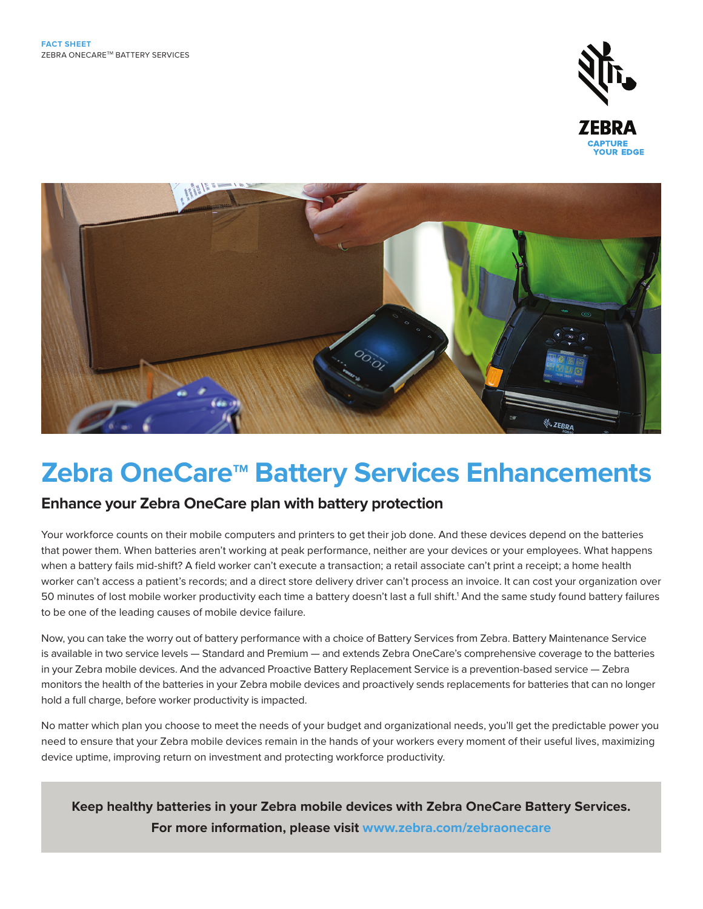



## **Zebra OneCare<sup>™</sup> Battery Services Enhancements**

## **Enhance your Zebra OneCare plan with battery protection**

Your workforce counts on their mobile computers and printers to get their job done. And these devices depend on the batteries that power them. When batteries aren't working at peak performance, neither are your devices or your employees. What happens when a battery fails mid-shift? A field worker can't execute a transaction; a retail associate can't print a receipt; a home health worker can't access a patient's records; and a direct store delivery driver can't process an invoice. It can cost your organization over 50 minutes of lost mobile worker productivity each time a battery doesn't last a full shift.1 And the same study found battery failures to be one of the leading causes of mobile device failure.

Now, you can take the worry out of battery performance with a choice of Battery Services from Zebra. Battery Maintenance Service is available in two service levels — Standard and Premium — and extends Zebra OneCare's comprehensive coverage to the batteries in your Zebra mobile devices. And the advanced Proactive Battery Replacement Service is a prevention-based service — Zebra monitors the health of the batteries in your Zebra mobile devices and proactively sends replacements for batteries that can no longer hold a full charge, before worker productivity is impacted.

No matter which plan you choose to meet the needs of your budget and organizational needs, you'll get the predictable power you need to ensure that your Zebra mobile devices remain in the hands of your workers every moment of their useful lives, maximizing device uptime, improving return on investment and protecting workforce productivity.

**Keep healthy batteries in your Zebra mobile devices with Zebra OneCare Battery Services. For more information, please visit [www.zebra.com/z](http://www.zebra.com/zebraonecare)ebraonecare**